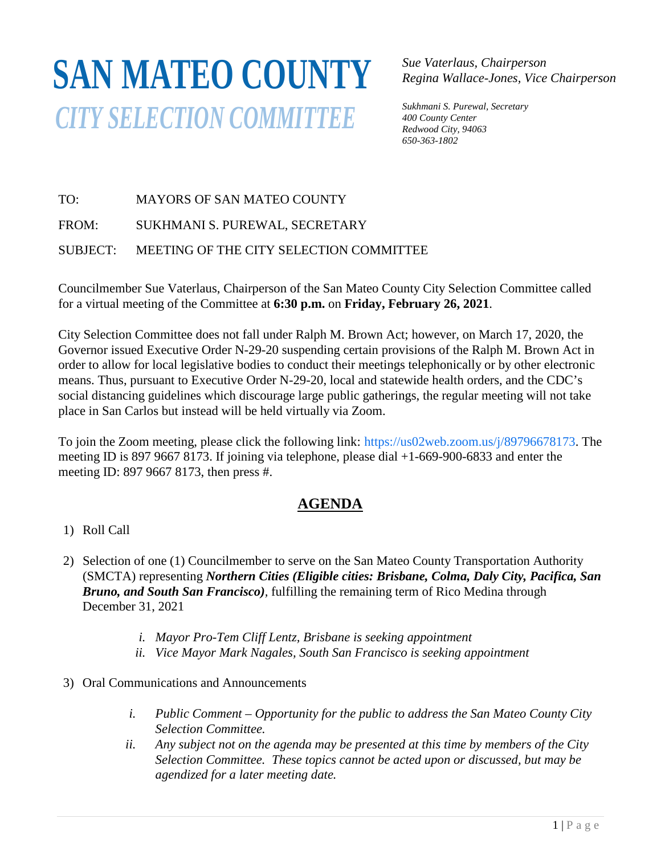# **SAN MATEO COUNTY***CITY SELECTION COMMITTEE*

*Sue Vaterlaus, Chairperson Regina Wallace-Jones, Vice Chairperson*

*Sukhmani S. Purewal, Secretary 400 County Center Redwood City, 94063 650-363-1802*

### TO: MAYORS OF SAN MATEO COUNTY

FROM: SUKHMANI S. PUREWAL, SECRETARY

#### SUBJECT: MEETING OF THE CITY SELECTION COMMITTEE

Councilmember Sue Vaterlaus, Chairperson of the San Mateo County City Selection Committee called for a virtual meeting of the Committee at **6:30 p.m.** on **Friday, February 26, 2021**.

City Selection Committee does not fall under Ralph M. Brown Act; however, on March 17, 2020, the Governor issued Executive Order N-29-20 suspending certain provisions of the Ralph M. Brown Act in order to allow for local legislative bodies to conduct their meetings telephonically or by other electronic means. Thus, pursuant to Executive Order N-29-20, local and statewide health orders, and the CDC's social distancing guidelines which discourage large public gatherings, the regular meeting will not take place in San Carlos but instead will be held virtually via Zoom.

To join the Zoom meeting, please click the following link: https://us02web.zoom.us/j/89796678173. The meeting ID is 897 9667 8173. If joining via telephone, please dial +1-669-900-6833 and enter the meeting ID: 897 9667 8173, then press #.

## **AGENDA**

- 1) Roll Call
- 2) Selection of one (1) Councilmember to serve on the San Mateo County Transportation Authority (SMCTA) representing *Northern Cities (Eligible cities: Brisbane, Colma, Daly City, Pacifica, San Bruno, and South San Francisco),* fulfilling the remaining term of Rico Medina through December 31, 2021
	- *i. Mayor Pro-Tem Cliff Lentz, Brisbane is seeking appointment*
	- *ii. Vice Mayor Mark Nagales, South San Francisco is seeking appointment*
- 3) Oral Communications and Announcements
	- *i. Public Comment – Opportunity for the public to address the San Mateo County City Selection Committee.*
	- *ii. Any subject not on the agenda may be presented at this time by members of the City Selection Committee. These topics cannot be acted upon or discussed, but may be agendized for a later meeting date.*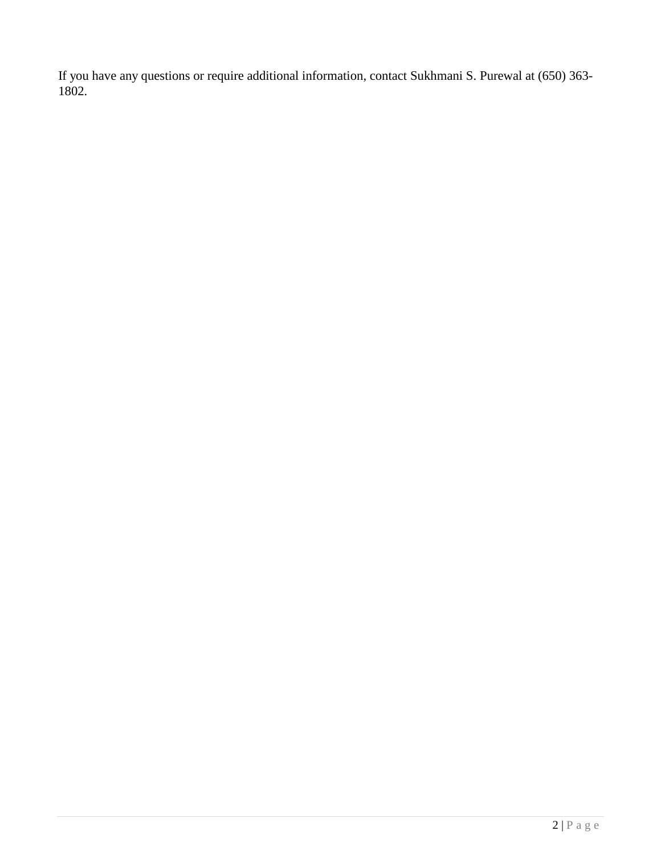If you have any questions or require additional information, contact Sukhmani S. Purewal at (650) 363- 1802.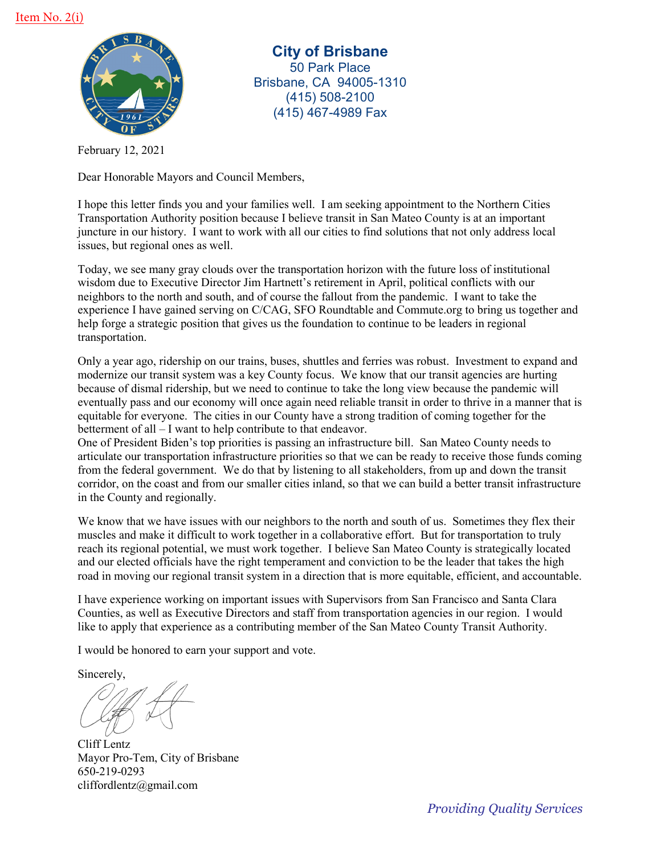

**City of Brisbane** 50 Park Place Brisbane, CA 94005-1310 (415) 508-2100 (415) 467-4989 Fax

February 12, 2021

Dear Honorable Mayors and Council Members,

I hope this letter finds you and your families well. I am seeking appointment to the Northern Cities Transportation Authority position because I believe transit in San Mateo County is at an important juncture in our history. I want to work with all our cities to find solutions that not only address local issues, but regional ones as well.

Today, we see many gray clouds over the transportation horizon with the future loss of institutional wisdom due to Executive Director Jim Hartnett's retirement in April, political conflicts with our neighbors to the north and south, and of course the fallout from the pandemic. I want to take the experience I have gained serving on C/CAG, SFO Roundtable and Commute.org to bring us together and help forge a strategic position that gives us the foundation to continue to be leaders in regional transportation.

Only a year ago, ridership on our trains, buses, shuttles and ferries was robust. Investment to expand and modernize our transit system was a key County focus. We know that our transit agencies are hurting because of dismal ridership, but we need to continue to take the long view because the pandemic will eventually pass and our economy will once again need reliable transit in order to thrive in a manner that is equitable for everyone. The cities in our County have a strong tradition of coming together for the betterment of all – I want to help contribute to that endeavor.

One of President Biden's top priorities is passing an infrastructure bill. San Mateo County needs to articulate our transportation infrastructure priorities so that we can be ready to receive those funds coming from the federal government. We do that by listening to all stakeholders, from up and down the transit corridor, on the coast and from our smaller cities inland, so that we can build a better transit infrastructure in the County and regionally.

We know that we have issues with our neighbors to the north and south of us. Sometimes they flex their muscles and make it difficult to work together in a collaborative effort. But for transportation to truly reach its regional potential, we must work together. I believe San Mateo County is strategically located and our elected officials have the right temperament and conviction to be the leader that takes the high road in moving our regional transit system in a direction that is more equitable, efficient, and accountable.

I have experience working on important issues with Supervisors from San Francisco and Santa Clara Counties, as well as Executive Directors and staff from transportation agencies in our region. I would like to apply that experience as a contributing member of the San Mateo County Transit Authority.

I would be honored to earn your support and vote.

Sincerely,

Cliff Lentz Mayor Pro-Tem, City of Brisbane 650-219-0293 cliffordlentz@gmail.com

*Providing Quality Services*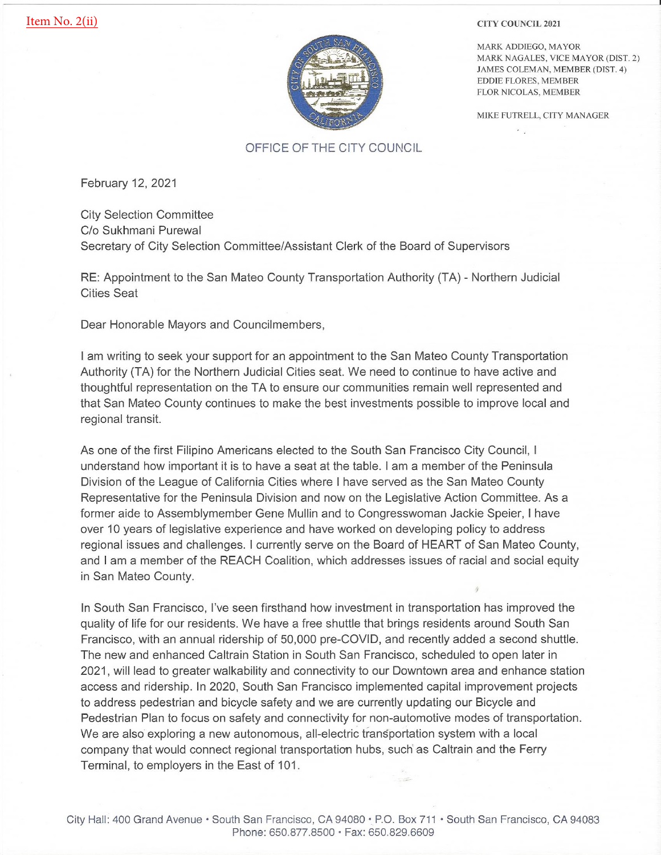

**CITY COUNCIL 2021** 

MARK ADDIEGO, MAYOR MARK NAGALES, VICE MAYOR (DIST. 2) JAMES COLEMAN, MEMBER (DIST. 4) **EDDIE FLORES, MEMBER** FLOR NICOLAS, MEMBER

MIKE FUTRELL, CITY MANAGER

#### OFFICE OF THE CITY COUNCIL

February 12, 2021

**City Selection Committee** C/o Sukhmani Purewal Secretary of City Selection Committee/Assistant Clerk of the Board of Supervisors

RE: Appointment to the San Mateo County Transportation Authority (TA) - Northern Judicial **Cities Seat** 

Dear Honorable Mayors and Councilmembers,

I am writing to seek your support for an appointment to the San Mateo County Transportation Authority (TA) for the Northern Judicial Cities seat. We need to continue to have active and thoughtful representation on the TA to ensure our communities remain well represented and that San Mateo County continues to make the best investments possible to improve local and regional transit.

As one of the first Filipino Americans elected to the South San Francisco City Council, I understand how important it is to have a seat at the table. I am a member of the Peninsula Division of the League of California Cities where I have served as the San Mateo County Representative for the Peninsula Division and now on the Legislative Action Committee. As a former aide to Assemblymember Gene Mullin and to Congresswoman Jackie Speier, I have over 10 years of legislative experience and have worked on developing policy to address regional issues and challenges. I currently serve on the Board of HEART of San Mateo County, and I am a member of the REACH Coalition, which addresses issues of racial and social equity in San Mateo County.

In South San Francisco, I've seen firsthand how investment in transportation has improved the quality of life for our residents. We have a free shuttle that brings residents around South San Francisco, with an annual ridership of 50,000 pre-COVID, and recently added a second shuttle. The new and enhanced Caltrain Station in South San Francisco, scheduled to open later in 2021, will lead to greater walkability and connectivity to our Downtown area and enhance station access and ridership. In 2020, South San Francisco implemented capital improvement projects to address pedestrian and bicycle safety and we are currently updating our Bicycle and Pedestrian Plan to focus on safety and connectivity for non-automotive modes of transportation. We are also exploring a new autonomous, all-electric transportation system with a local company that would connect regional transportation hubs, such as Caltrain and the Ferry Terminal, to employers in the East of 101.